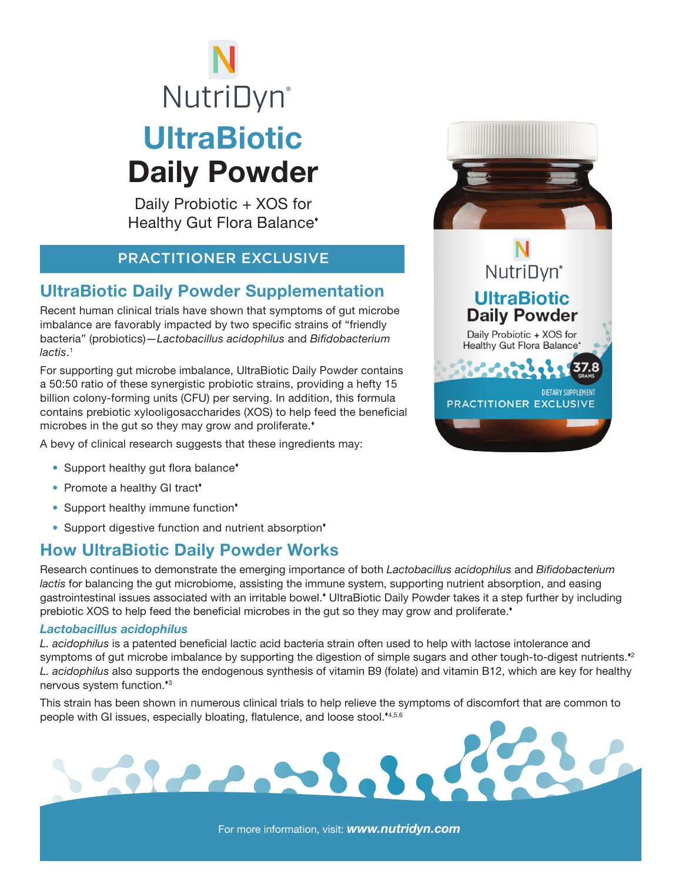# **UltraBiotic** Daily Powder **NutriDyn**®

Daily Probiotic + XOS for Healthy Gut Flora Balance

### PRACTITIONER EXCLUSIVE

# UltraBiotic Daily Powder Supplementation

Recent human clinical trials have shown that symptoms of gut microbe imbalance are favorably impacted by two specific strains of "friendly bacteria" (probiotics)—*Lactobacillus acidophilus* and *Bifidobacterium lactis*. 1

For supporting gut microbe imbalance, UltraBiotic Daily Powder contains a 50:50 ratio of these synergistic probiotic strains, providing a hefty 15 billion colony-forming units (CFU) per serving. In addition, this formula contains prebiotic xylooligosaccharides (XOS) to help feed the beneficial microbes in the gut so they may grow and proliferate.<sup>\*</sup>

Beech.

A bevy of clinical research suggests that these ingredients may:

- Support healthy gut flora balance<sup>\*</sup>
- Promote a healthy GI tract\*
- Support healthy immune function\*
- Support digestive function and nutrient absorption<sup>\*</sup>

# How UltraBiotic Daily Powder Works

Research continues to demonstrate the emerging importance of both *Lactobacillus acidophilus* and *Bifidobacterium lactis* for balancing the gut microbiome, assisting the immune system, supporting nutrient absorption, and easing gastrointestinal issues associated with an irritable bowel. UltraBiotic Daily Powder takes it a step further by including prebiotic XOS to help feed the beneficial microbes in the gut so they may grow and proliferate.<sup>\*</sup>

#### *Lactobacillus acidophilus*

*L. acidophilus* is a patented beneficial lactic acid bacteria strain often used to help with lactose intolerance and symptoms of gut microbe imbalance by supporting the digestion of simple sugars and other tough-to-digest nutrients.<sup>22</sup> *L. acidophilus* also supports the endogenous synthesis of vitamin B9 (folate) and vitamin B12, which are key for healthy nervous system function.<sup>\*3</sup>

This strain has been shown in numerous clinical trials to help relieve the symptoms of discomfort that are common to people with GI issues, especially bloating, flatulence, and loose stool.<sup>\*4,5,6</sup>



# NutriDyn<sup>\*</sup> **UltraBiotic Daily Powder**

Daily Probiotic + XOS for **Healthy Gut Flora Balance'** 

**PRACTITIONER EXCLUSIVE** 

DIFTARY SUPPLEMENT

For more information, visit: *www.nutridyn.com*